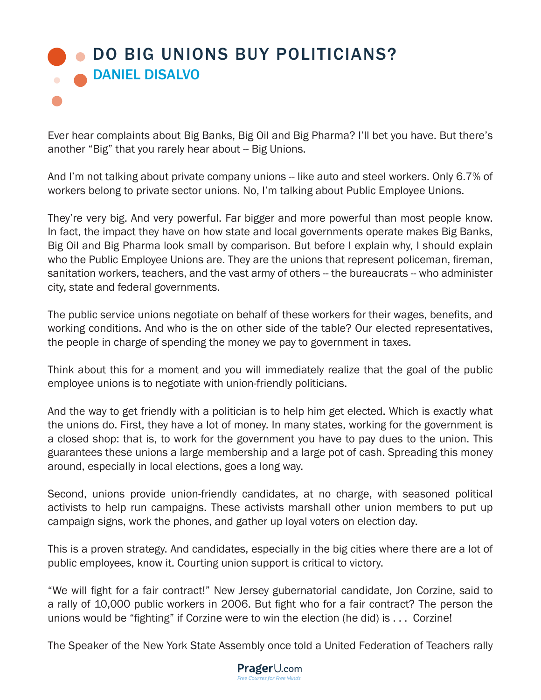## **OD BIG UNIONS BUY POLITICIANS?** DANIEL DISALVO

Ever hear complaints about Big Banks, Big Oil and Big Pharma? I'll bet you have. But there's another "Big" that you rarely hear about -- Big Unions.

And I'm not talking about private company unions -- like auto and steel workers. Only 6.7% of workers belong to private sector unions. No, I'm talking about Public Employee Unions.

They're very big. And very powerful. Far bigger and more powerful than most people know. In fact, the impact they have on how state and local governments operate makes Big Banks, Big Oil and Big Pharma look small by comparison. But before I explain why, I should explain who the Public Employee Unions are. They are the unions that represent policeman, fireman, sanitation workers, teachers, and the vast army of others -- the bureaucrats -- who administer city, state and federal governments.

The public service unions negotiate on behalf of these workers for their wages, benefits, and working conditions. And who is the on other side of the table? Our elected representatives, the people in charge of spending the money we pay to government in taxes.

Think about this for a moment and you will immediately realize that the goal of the public employee unions is to negotiate with union-friendly politicians.

And the way to get friendly with a politician is to help him get elected. Which is exactly what the unions do. First, they have a lot of money. In many states, working for the government is a closed shop: that is, to work for the government you have to pay dues to the union. This guarantees these unions a large membership and a large pot of cash. Spreading this money around, especially in local elections, goes a long way.

Second, unions provide union-friendly candidates, at no charge, with seasoned political activists to help run campaigns. These activists marshall other union members to put up campaign signs, work the phones, and gather up loyal voters on election day.

This is a proven strategy. And candidates, especially in the big cities where there are a lot of public employees, know it. Courting union support is critical to victory.

"We will fight for a fair contract!" New Jersey gubernatorial candidate, Jon Corzine, said to a rally of 10,000 public workers in 2006. But fight who for a fair contract? The person the unions would be "fighting" if Corzine were to win the election (he did) is . . . Corzine!

The Speaker of the New York State Assembly once told a United Federation of Teachers rally